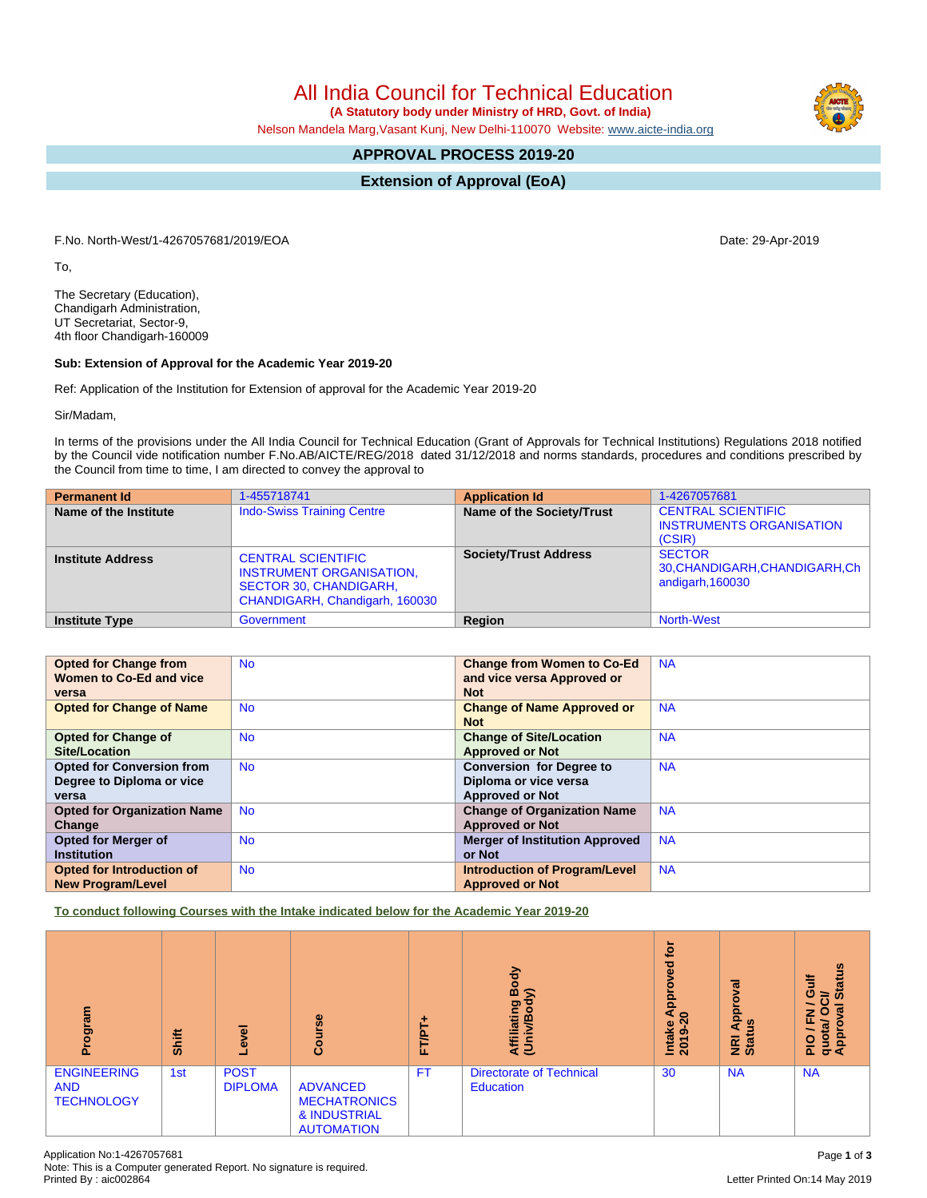All India Council for Technical Education

 **(A Statutory body under Ministry of HRD, Govt. of India)**

Nelson Mandela Marg,Vasant Kunj, New Delhi-110070 Website: [www.aicte-india.org](http://www.aicte-india.org)

# **APPROVAL PROCESS 2019-20**

**Extension of Approval (EoA)**

F.No. North-West/1-4267057681/2019/EOA Date: 29-Apr-2019

To,

The Secretary (Education), Chandigarh Administration, UT Secretariat, Sector-9, 4th floor Chandigarh-160009

#### **Sub: Extension of Approval for the Academic Year 2019-20**

Ref: Application of the Institution for Extension of approval for the Academic Year 2019-20

Sir/Madam,

In terms of the provisions under the All India Council for Technical Education (Grant of Approvals for Technical Institutions) Regulations 2018 notified by the Council vide notification number F.No.AB/AICTE/REG/2018 dated 31/12/2018 and norms standards, procedures and conditions prescribed by the Council from time to time, I am directed to convey the approval to

| <b>Permanent Id</b>      | 1-455718741                                                                                                                     | <b>Application Id</b>        | 1-4267057681                                                           |
|--------------------------|---------------------------------------------------------------------------------------------------------------------------------|------------------------------|------------------------------------------------------------------------|
| Name of the Institute    | <b>Indo-Swiss Training Centre</b>                                                                                               | Name of the Society/Trust    | <b>CENTRAL SCIENTIFIC</b><br><b>INSTRUMENTS ORGANISATION</b><br>(CSIR) |
| <b>Institute Address</b> | <b>CENTRAL SCIENTIFIC</b><br><b>INSTRUMENT ORGANISATION.</b><br><b>SECTOR 30, CHANDIGARH,</b><br>CHANDIGARH, Chandigarh, 160030 | <b>Society/Trust Address</b> | <b>SECTOR</b><br>30, CHANDIGARH, CHANDIGARH, Ch<br>andigarh, 160030    |
| <b>Institute Type</b>    | Government                                                                                                                      | Region                       | <b>North-West</b>                                                      |

| <b>Opted for Change from</b>       | <b>No</b> | <b>Change from Women to Co-Ed</b>     | <b>NA</b> |
|------------------------------------|-----------|---------------------------------------|-----------|
| Women to Co-Ed and vice            |           | and vice versa Approved or            |           |
| versa                              |           | <b>Not</b>                            |           |
| <b>Opted for Change of Name</b>    | <b>No</b> | <b>Change of Name Approved or</b>     | <b>NA</b> |
|                                    |           | <b>Not</b>                            |           |
| <b>Opted for Change of</b>         | <b>No</b> | <b>Change of Site/Location</b>        | <b>NA</b> |
| <b>Site/Location</b>               |           | <b>Approved or Not</b>                |           |
| <b>Opted for Conversion from</b>   | <b>No</b> | <b>Conversion for Degree to</b>       | <b>NA</b> |
| Degree to Diploma or vice          |           | Diploma or vice versa                 |           |
| versa                              |           | <b>Approved or Not</b>                |           |
| <b>Opted for Organization Name</b> | <b>No</b> | <b>Change of Organization Name</b>    | <b>NA</b> |
| Change                             |           | <b>Approved or Not</b>                |           |
| Opted for Merger of                | <b>No</b> | <b>Merger of Institution Approved</b> | <b>NA</b> |
| <b>Institution</b>                 |           | or Not                                |           |
| Opted for Introduction of          | <b>No</b> | <b>Introduction of Program/Level</b>  | <b>NA</b> |
| <b>New Program/Level</b>           |           | <b>Approved or Not</b>                |           |

**To conduct following Courses with the Intake indicated below for the Academic Year 2019-20**

| mel<br>iĝo,<br>ō                                      | Shift | g<br>ق                        | Course                                                                      | FT/PT | Body<br>$\widehat{\phantom{a}}$<br>Affiliating<br>(Univ/Bod <sub>)</sub> | <b>jo</b><br>yed<br>ē<br>Appi<br>$\circ$<br>Intake<br>െ<br>201 | ख़<br>ō<br>Appl<br><u>ទ</u><br><b>NRI</b><br>Stat | <b>Status</b><br>븧<br>O<br>ਨੋ<br>ē<br>O<br>z<br>ш.<br>quota/<br>Approv<br>PIO |
|-------------------------------------------------------|-------|-------------------------------|-----------------------------------------------------------------------------|-------|--------------------------------------------------------------------------|----------------------------------------------------------------|---------------------------------------------------|-------------------------------------------------------------------------------|
| <b>ENGINEERING</b><br><b>AND</b><br><b>TECHNOLOGY</b> | 1st   | <b>POST</b><br><b>DIPLOMA</b> | <b>ADVANCED</b><br><b>MECHATRONICS</b><br>& INDUSTRIAL<br><b>AUTOMATION</b> | FT.   | <b>Directorate of Technical</b><br><b>Education</b>                      | 30                                                             | <b>NA</b>                                         | <b>NA</b>                                                                     |

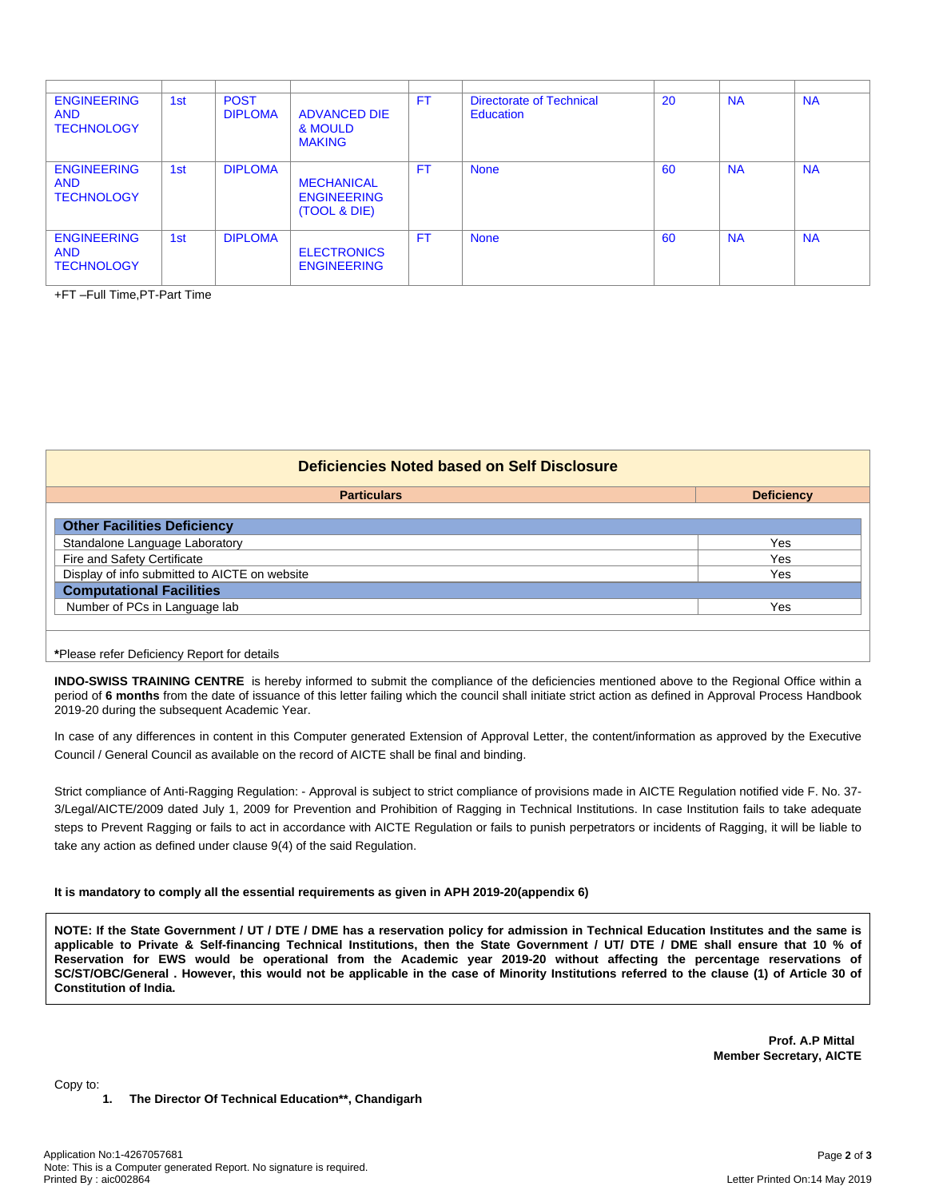| <b>ENGINEERING</b><br><b>AND</b><br><b>TECHNOLOGY</b> | 1st | <b>POST</b><br><b>DIPLOMA</b> | <b>ADVANCED DIE</b><br>& MOULD<br><b>MAKING</b>         | <b>FT</b> | <b>Directorate of Technical</b><br>Education | <b>20</b> | <b>NA</b> | <b>NA</b> |
|-------------------------------------------------------|-----|-------------------------------|---------------------------------------------------------|-----------|----------------------------------------------|-----------|-----------|-----------|
| <b>ENGINEERING</b><br><b>AND</b><br><b>TECHNOLOGY</b> | 1st | <b>DIPLOMA</b>                | <b>MECHANICAL</b><br><b>ENGINEERING</b><br>(TOOL & DIE) | <b>FT</b> | <b>None</b>                                  | 60        | <b>NA</b> | <b>NA</b> |
| <b>ENGINEERING</b><br><b>AND</b><br><b>TECHNOLOGY</b> | 1st | <b>DIPLOMA</b>                | <b>ELECTRONICS</b><br><b>ENGINEERING</b>                | FT.       | <b>None</b>                                  | 60        | <b>NA</b> | <b>NA</b> |

+FT –Full Time,PT-Part Time

| Deficiencies Noted based on Self Disclosure   |                   |  |  |  |  |  |
|-----------------------------------------------|-------------------|--|--|--|--|--|
| <b>Particulars</b>                            | <b>Deficiency</b> |  |  |  |  |  |
| <b>Other Facilities Deficiency</b>            |                   |  |  |  |  |  |
| Standalone Language Laboratory                | Yes               |  |  |  |  |  |
| Fire and Safety Certificate                   | Yes               |  |  |  |  |  |
| Display of info submitted to AICTE on website | Yes               |  |  |  |  |  |
| <b>Computational Facilities</b>               |                   |  |  |  |  |  |
| Number of PCs in Language lab                 | Yes               |  |  |  |  |  |
|                                               |                   |  |  |  |  |  |
| *Please refer Deficiency Report for details   |                   |  |  |  |  |  |

**INDO-SWISS TRAINING CENTRE** is hereby informed to submit the compliance of the deficiencies mentioned above to the Regional Office within a period of 6 months from the date of issuance of this letter failing which the council shall initiate strict action as defined in Approval Process Handbook 2019-20 during the subsequent Academic Year.

In case of any differences in content in this Computer generated Extension of Approval Letter, the content/information as approved by the Executive Council / General Council as available on the record of AICTE shall be final and binding.

Strict compliance of Anti-Ragging Regulation: - Approval is subject to strict compliance of provisions made in AICTE Regulation notified vide F. No. 37- 3/Legal/AICTE/2009 dated July 1, 2009 for Prevention and Prohibition of Ragging in Technical Institutions. In case Institution fails to take adequate steps to Prevent Ragging or fails to act in accordance with AICTE Regulation or fails to punish perpetrators or incidents of Ragging, it will be liable to take any action as defined under clause 9(4) of the said Regulation.

#### **It is mandatory to comply all the essential requirements as given in APH 2019-20(appendix 6)**

NOTE: If the State Government / UT / DTE / DME has a reservation policy for admission in Technical Education Institutes and the same is applicable to Private & Self-financing Technical Institutions, then the State Government / UT/ DTE / DME shall ensure that 10 % of Reservation for EWS would be operational from the Academic year 2019-20 without affecting the percentage reservations of SC/ST/OBC/General . However, this would not be applicable in the case of Minority Institutions referred to the clause (1) of Article 30 of **Constitution of India.**

> **Prof. A.P Mittal Member Secretary, AICTE**

Copy to:

**1. The Director Of Technical Education\*\*, Chandigarh**